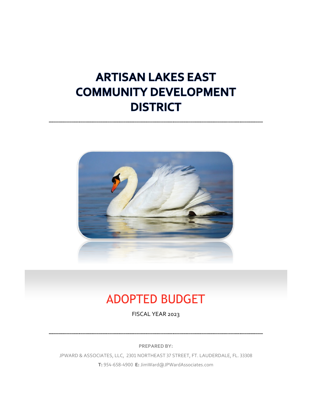# **ARTISAN LAKES EAST COMMUNITY DEVELOPMENT DISTRICT**



# ADOPTED BUDGET

FISCAL YEAR 2023

**PREPARED BY:**

JPWARD & ASSOCIATES, LLC, 2301 NORTHEAST 37 STREET, FT. LAUDERDALE, FL. 33308 **T:** 954-658-4900 **E:** JimWard@JPWardAssociates.com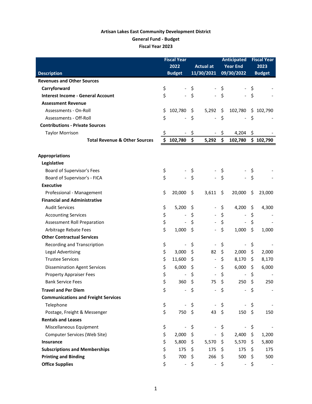# **Artisan Lakes East Community Development District General Fund - Budget Fiscal Year 2023**

|                                            | <b>Fiscal Year</b> |                              |    |                          |                     | <b>Anticipated</b>           | <b>Fiscal Year</b>  |               |
|--------------------------------------------|--------------------|------------------------------|----|--------------------------|---------------------|------------------------------|---------------------|---------------|
|                                            |                    | 2022                         |    | <b>Actual at</b>         |                     | <b>Year End</b>              | 2023                |               |
| <b>Description</b>                         |                    | <b>Budget</b>                |    | 11/30/2021               |                     | 09/30/2022                   |                     | <b>Budget</b> |
| <b>Revenues and Other Sources</b>          |                    |                              |    |                          |                     |                              |                     |               |
| Carryforward                               | \$                 |                              | \$ |                          | \$                  |                              | \$                  |               |
| <b>Interest Income - General Account</b>   | \$                 | $\frac{1}{2}$                | \$ |                          | \$                  |                              | \$                  |               |
| <b>Assessment Revenue</b>                  |                    |                              |    |                          |                     |                              |                     |               |
| Assessments - On-Roll                      | \$                 | 102,780                      | \$ | 5,292                    | \$                  | 102,780                      |                     | \$102,790     |
| Assessments - Off-Roll                     | \$                 | $\overline{\phantom{a}}$     | \$ | $\overline{\phantom{0}}$ | \$                  | $\qquad \qquad \blacksquare$ | \$                  |               |
| <b>Contributions - Private Sources</b>     |                    |                              |    |                          |                     |                              |                     |               |
| <b>Taylor Morrison</b>                     | \$                 | $\overline{\phantom{a}}$     | \$ |                          | \$                  | 4,204                        | \$                  |               |
| <b>Total Revenue &amp; Other Sources</b>   | \$                 | 102,780                      | \$ | 5,292                    | \$                  | 102,780                      |                     | \$102,790     |
| <b>Appropriations</b>                      |                    |                              |    |                          |                     |                              |                     |               |
| Legislative                                |                    |                              |    |                          |                     |                              |                     |               |
| Board of Supervisor's Fees                 | \$                 |                              | \$ |                          | \$                  |                              | \$                  |               |
| Board of Supervisor's - FICA               | \$                 | $\overline{\phantom{0}}$     | \$ |                          | \$                  | $\overline{\phantom{0}}$     | \$                  |               |
| <b>Executive</b>                           |                    |                              |    |                          |                     |                              |                     |               |
| Professional - Management                  | \$                 | 20,000                       | \$ | 3,611                    | \$                  | 20,000                       | \$                  | 23,000        |
| <b>Financial and Administrative</b>        |                    |                              |    |                          |                     |                              |                     |               |
| <b>Audit Services</b>                      | \$                 | 5,200                        | \$ |                          | \$                  | 4,200                        | \$                  | 4,300         |
| <b>Accounting Services</b>                 | \$                 | $\qquad \qquad \blacksquare$ | \$ |                          | \$                  | $\qquad \qquad \blacksquare$ | \$                  |               |
| <b>Assessment Roll Preparation</b>         | \$                 |                              | \$ |                          | \$                  |                              | \$                  |               |
| Arbitrage Rebate Fees                      | \$                 | 1,000                        | \$ |                          | \$                  | 1,000                        | \$                  | 1,000         |
| <b>Other Contractual Services</b>          |                    |                              |    |                          |                     |                              |                     |               |
| Recording and Transcription                | \$                 | $\qquad \qquad \blacksquare$ | \$ |                          | \$                  | $\overline{\phantom{a}}$     | \$                  |               |
| <b>Legal Advertising</b>                   | \$                 | 3,000                        | \$ | 82                       | \$                  | 2,000                        | \$                  | 2,000         |
| <b>Trustee Services</b>                    | \$                 | 11,600                       | \$ | $\overline{\phantom{0}}$ | \$                  | 8,170                        | \$                  | 8,170         |
| <b>Dissemination Agent Services</b>        | \$                 | 6,000                        | \$ |                          | \$                  | 6,000                        | \$                  | 6,000         |
| <b>Property Appraiser Fees</b>             | \$                 |                              | \$ |                          | \$                  | $\overline{a}$               | \$                  |               |
| <b>Bank Service Fees</b>                   | \$                 | 360                          | \$ | 75                       | \$                  | 250                          | \$                  | 250           |
| <b>Travel and Per Diem</b>                 | \$                 | $\frac{1}{2}$                | \$ |                          | \$                  |                              | \$                  |               |
| <b>Communications and Freight Services</b> |                    |                              |    |                          |                     |                              |                     |               |
| Telephone                                  | \$                 |                              | \$ |                          | \$                  |                              | \$                  |               |
| Postage, Freight & Messenger               | \$                 | 750                          | \$ | 43                       | $\ddot{\mathsf{s}}$ | 150                          | \$                  | 150           |
| <b>Rentals and Leases</b>                  |                    |                              |    |                          |                     |                              |                     |               |
| Miscellaneous Equipment                    | \$                 | $\qquad \qquad \blacksquare$ | \$ | -                        | \$                  | $\overline{\phantom{a}}$     | \$                  |               |
| Computer Services (Web Site)               | \$                 | 2,000                        | \$ |                          | \$                  | 2,400                        | \$                  | 1,200         |
| <b>Insurance</b>                           | \$                 | 5,800                        | \$ | $5,570$ \$               |                     | 5,570                        | $\ddot{\mathsf{S}}$ | 5,800         |
| <b>Subscriptions and Memberships</b>       | \$                 | 175                          | \$ | 175                      | \$                  | 175                          | \$                  | 175           |
| <b>Printing and Binding</b>                | \$                 | 700                          | \$ | 266                      | \$                  | 500                          | \$                  | 500           |
| <b>Office Supplies</b>                     | \$                 | $\overline{\phantom{a}}$     | \$ | $\overline{\phantom{a}}$ | \$                  | $\overline{\phantom{a}}$     | \$                  |               |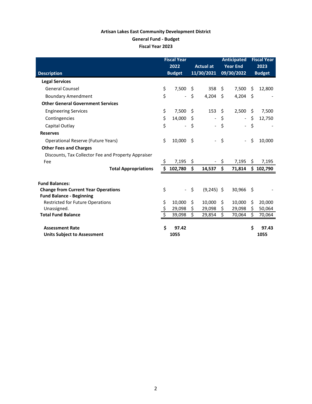# **Artisan Lakes East Community Development District General Fund - Budget Fiscal Year 2023**

|                                                              | <b>Fiscal Year</b><br>2022 |                          |      | <b>Actual at</b>         | <b>Anticipated</b><br><b>Year End</b> |                          |      | <b>Fiscal Year</b><br>2023 |
|--------------------------------------------------------------|----------------------------|--------------------------|------|--------------------------|---------------------------------------|--------------------------|------|----------------------------|
| <b>Description</b>                                           |                            | <b>Budget</b>            |      | 11/30/2021               |                                       | 09/30/2022               |      | <b>Budget</b>              |
| <b>Legal Services</b>                                        |                            |                          |      |                          |                                       |                          |      |                            |
| <b>General Counsel</b>                                       | \$                         | 7,500                    | - \$ | 358                      | \$                                    | 7,500                    | Ŝ.   | 12,800                     |
| <b>Boundary Amendment</b>                                    | \$                         | $\frac{1}{2}$            | \$   | 4,204                    | -\$                                   | 4,204                    | -\$  |                            |
| <b>Other General Government Services</b>                     |                            |                          |      |                          |                                       |                          |      |                            |
| <b>Engineering Services</b>                                  | \$                         | 7,500                    | Ŝ.   | 153                      | \$                                    | 2,500                    | \$   | 7,500                      |
| Contingencies                                                | \$                         | 14,000                   | \$   | $\overline{\phantom{0}}$ | \$                                    | $\overline{\phantom{a}}$ | \$   | 12,750                     |
| Capital Outlay                                               | \$                         | $\overline{\phantom{a}}$ | \$   |                          | \$                                    | $\blacksquare$           | \$   |                            |
| <b>Reserves</b>                                              |                            |                          |      |                          |                                       |                          |      |                            |
| Operational Reserve (Future Years)                           | \$                         | 10,000                   | Ŝ.   |                          | \$                                    | $\overline{\phantom{a}}$ | \$   | 10,000                     |
| <b>Other Fees and Charges</b>                                |                            |                          |      |                          |                                       |                          |      |                            |
| Discounts, Tax Collector Fee and Property Appraiser          |                            |                          |      |                          |                                       |                          |      |                            |
| Fee                                                          | \$                         | 7,195                    | \$   |                          | \$                                    | 7,195                    | Ŝ.   | 7,195                      |
| <b>Total Appropriations</b>                                  | \$                         | 102,780                  | \$   | 14,537                   | \$                                    | 71,814                   |      | \$102,790                  |
| <b>Fund Balances:</b>                                        |                            |                          |      |                          |                                       |                          |      |                            |
| <b>Change from Current Year Operations</b>                   | \$                         | $\omega_{\rm{eff}}$      | \$   | $(9,245)$ \$             |                                       | 30,966                   | - \$ |                            |
| <b>Fund Balance - Beginning</b>                              |                            |                          |      |                          |                                       |                          |      |                            |
| <b>Restricted for Future Operations</b>                      | \$                         | 10,000                   | \$   | 10,000                   | \$                                    | 10,000                   | \$   | 20,000                     |
| Unassigned.                                                  | \$                         | 29,098                   | \$   | 29,098                   | \$                                    | 29,098                   | \$   | 50,064                     |
| <b>Total Fund Balance</b>                                    | \$                         | 39,098                   | \$   | 29,854                   | \$                                    | 70,064                   | Ś.   | 70,064                     |
| <b>Assessment Rate</b><br><b>Units Subject to Assessment</b> | Ś                          | 97.42<br>1055            |      |                          |                                       |                          | Ś    | 97.43<br>1055              |
|                                                              |                            |                          |      |                          |                                       |                          |      |                            |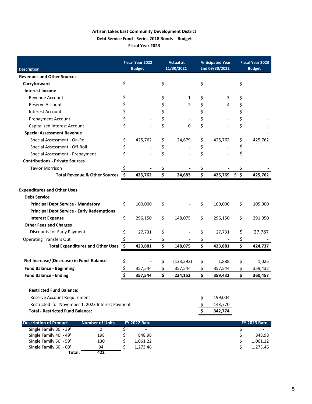# **Artisan Lakes East Community Development District Debt Service Fund - Series 2018 Bonds - Budget**

**Fiscal Year 2023**

|                                                           |      | <b>Fiscal Year 2022</b> | <b>Actual at</b>     | <b>Anticipated Year</b> |                | <b>Fiscal Year 2023</b> |  |  |
|-----------------------------------------------------------|------|-------------------------|----------------------|-------------------------|----------------|-------------------------|--|--|
| <b>Description</b>                                        |      | <b>Budget</b>           | 11/30/2021           | End 09/30/2022          |                | <b>Budget</b>           |  |  |
| <b>Revenues and Other Sources</b>                         |      |                         |                      |                         |                |                         |  |  |
| Carryforward                                              | \$   |                         | \$                   | \$                      | \$             |                         |  |  |
| <b>Interest Income</b>                                    |      |                         |                      |                         |                |                         |  |  |
| Revenue Account                                           | \$   |                         | \$<br>1              | \$<br>3                 | \$             |                         |  |  |
| <b>Reserve Account</b>                                    | \$   |                         | \$<br>$\overline{2}$ | \$<br>4                 | \$             |                         |  |  |
| <b>Interest Account</b>                                   | \$   |                         | \$                   | \$                      | \$             |                         |  |  |
| <b>Prepayment Account</b>                                 | \$   |                         | \$                   | \$                      | \$             |                         |  |  |
| Capitalized Interest Account                              | \$   |                         | \$<br>$\Omega$       | \$                      | \$             |                         |  |  |
| <b>Special Assessment Revenue</b>                         |      |                         |                      |                         |                |                         |  |  |
| Special Assessment - On-Roll                              | \$   | 425,762                 | \$<br>24,679         | \$<br>425,762           | \$             | 425,762                 |  |  |
| Special Assessment - Off-Roll                             | \$   |                         | \$                   | \$                      | \$             |                         |  |  |
| Special Assessment - Prepayment                           | \$   |                         | \$                   | \$                      | \$             |                         |  |  |
| <b>Contributions - Private Sources</b>                    |      |                         |                      |                         |                |                         |  |  |
| <b>Taylor Morrison</b>                                    | \$   |                         | \$                   | \$                      | \$             |                         |  |  |
| <b>Total Revenue &amp; Other Sources</b>                  | - \$ | 425,762                 | \$<br>24,683         | \$<br>425,769           | S <sup> </sup> | 425,762                 |  |  |
| <b>Expenditures and Other Uses</b><br><b>Debt Service</b> |      |                         |                      |                         |                |                         |  |  |
| <b>Principal Debt Service - Mandatory</b>                 | \$   | 100,000                 | \$                   | \$<br>100,000           | \$             | 105,000                 |  |  |
| <b>Principal Debt Service - Early Redemptions</b>         |      |                         |                      |                         |                |                         |  |  |
| <b>Interest Expense</b>                                   | \$   | 296,150                 | \$<br>148,075        | \$<br>296,150           | \$             | 291,950                 |  |  |
| <b>Other Fees and Charges</b>                             |      |                         |                      |                         |                |                         |  |  |
| Discounts for Early Payment                               | \$   | 27,731                  | \$                   | \$<br>27,731            | \$             | 27,787                  |  |  |
| <b>Operating Transfers Out</b>                            | \$   |                         | \$                   | \$                      | \$             |                         |  |  |
| <b>Total Expenditures and Other Uses</b>                  | \$   | 423,881                 | \$<br>148,075        | \$<br>423,881           | \$             | 424,737                 |  |  |
|                                                           |      |                         |                      |                         |                |                         |  |  |
| Net Increase/(Decrease) in Fund Balance                   | \$   |                         | \$<br>(123, 392)     | \$<br>1,888             | \$             | 1,025                   |  |  |
| <b>Fund Balance - Beginning</b>                           | \$   | 357,544                 | \$<br>357,544        | \$<br>357,544           | \$             | 359,432                 |  |  |
| <b>Fund Balance - Ending</b>                              | \$   | 357,544                 | \$<br>234,152        | \$<br>359,432           | \$             | 360,457                 |  |  |
|                                                           |      |                         |                      |                         |                |                         |  |  |
| <b>Restricted Fund Balance:</b>                           |      |                         |                      |                         |                |                         |  |  |
| Reserve Account Requirement                               |      |                         |                      | \$<br>199,004           |                |                         |  |  |
| Restricted for November 1, 2023 Interest Payment          |      |                         |                      | \$<br>143,770           |                |                         |  |  |
| <b>Total - Restricted Fund Balance:</b>                   |      |                         |                      | \$<br>342,774           |                |                         |  |  |
| <b>Description of Product</b><br><b>Number of Units</b>   |      | <b>FY 2022 Rate</b>     |                      |                         |                | <b>FY 2023 Rate</b>     |  |  |

| <b>Description of Product</b> | <b>Number of Units</b> | <b>FY 2022 Rate</b>      |  | <b>FY 2023 Rate</b> |
|-------------------------------|------------------------|--------------------------|--|---------------------|
| Single Family 30' - 39'       |                        | $\overline{\phantom{0}}$ |  |                     |
| Single Family 40' - 49'       | 198                    | 848.98                   |  | 848.98              |
| Single Family 50' - 59'       | 130                    | 1,061.22                 |  | 1.061.22            |
| Single Family 60' - 69'       | 94                     | 1.273.46                 |  | 1.273.46            |
| Total:                        | 422                    |                          |  |                     |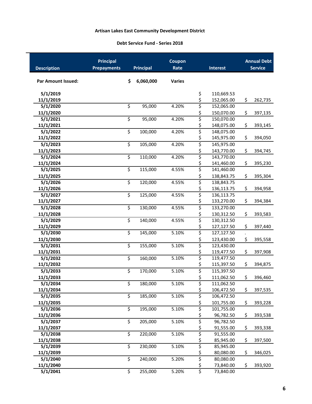#### **Debt Service Fund - Series 2018**

| <b>Description</b>        | <b>Principal</b><br><b>Prepayments</b> | Coupon<br><b>Principal</b><br>Rate<br><b>Interest</b> |           |               | <b>Annual Debt</b><br><b>Service</b> |                          |               |
|---------------------------|----------------------------------------|-------------------------------------------------------|-----------|---------------|--------------------------------------|--------------------------|---------------|
| <b>Par Amount Issued:</b> | \$                                     |                                                       | 6,060,000 | <b>Varies</b> |                                      |                          |               |
| 5/1/2019<br>11/1/2019     |                                        |                                                       |           |               | \$                                   | 110,669.53               |               |
| 5/1/2020                  | \$                                     |                                                       | 95,000    | 4.20%         | \$<br>\$                             | 152,065.00<br>152,065.00 | \$<br>262,735 |
| 11/1/2020                 |                                        |                                                       |           |               | \$                                   | 150,070.00               | \$<br>397,135 |
| 5/1/2021                  | $\overline{\mathsf{S}}$                |                                                       | 95,000    | 4.20%         | \$                                   | 150,070.00               |               |
| 11/1/2021                 |                                        |                                                       |           |               | \$                                   | 148,075.00               | \$<br>393,145 |
| 5/1/2022                  | \$                                     |                                                       | 100,000   | 4.20%         | \$                                   | 148,075.00               |               |
| 11/1/2022                 |                                        |                                                       |           |               | \$                                   | 145,975.00               | \$<br>394,050 |
| 5/1/2023                  | \$                                     |                                                       | 105,000   | 4.20%         | \$                                   | 145,975.00               |               |
| 11/1/2023                 |                                        |                                                       |           |               | \$                                   | 143,770.00               | \$<br>394,745 |
| 5/1/2024                  | $\overline{\mathsf{S}}$                |                                                       | 110,000   | 4.20%         | \$                                   | 143,770.00               |               |
| 11/1/2024                 |                                        |                                                       |           |               | \$                                   | 141,460.00               | \$<br>395,230 |
| 5/1/2025                  | \$                                     |                                                       | 115,000   | 4.55%         | \$                                   | 141,460.00               |               |
| 11/1/2025                 |                                        |                                                       |           |               | \$                                   | 138,843.75               | \$<br>395,304 |
| 5/1/2026                  | \$                                     |                                                       | 120,000   | 4.55%         | \$                                   | 138,843.75               |               |
| 11/1/2026                 |                                        |                                                       |           |               | \$                                   | 136,113.75               | \$<br>394,958 |
| 5/1/2027                  | \$                                     |                                                       | 125,000   | 4.55%         | \$                                   | 136,113.75               |               |
| 11/1/2027                 |                                        |                                                       |           |               | \$                                   | 133,270.00               | \$<br>394,384 |
| 5/1/2028                  | \$                                     |                                                       | 130,000   | 4.55%         | \$                                   | 133,270.00               |               |
| 11/1/2028                 |                                        |                                                       |           |               | \$                                   | 130,312.50               | \$<br>393,583 |
| 5/1/2029                  | $\overline{\mathsf{S}}$                |                                                       | 140,000   | 4.55%         | \$                                   | 130,312.50               |               |
| 11/1/2029                 |                                        |                                                       |           |               | \$                                   | 127,127.50               | \$<br>397,440 |
| 5/1/2030                  | \$                                     |                                                       | 145,000   | 5.10%         | \$                                   | 127,127.50               |               |
| 11/1/2030                 |                                        |                                                       |           |               | \$                                   | 123,430.00               | \$<br>395,558 |
| 5/1/2031                  | \$                                     |                                                       | 155,000   | 5.10%         | \$                                   | 123,430.00<br>119,477.50 |               |
| 11/1/2031<br>5/1/2032     | $\overline{\mathsf{S}}$                |                                                       | 160,000   | 5.10%         | \$<br>\$                             | 119,477.50               | \$<br>397,908 |
| 11/1/2032                 |                                        |                                                       |           |               | \$                                   | 115,397.50               | \$<br>394,875 |
| 5/1/2033                  | \$                                     |                                                       | 170,000   | 5.10%         | \$                                   | 115,397.50               |               |
| 11/1/2033                 |                                        |                                                       |           |               | \$                                   | 111,062.50               | \$<br>396,460 |
| 5/1/2034                  | \$                                     |                                                       | 180,000   | 5.10%         | \$                                   | 111,062.50               |               |
| 11/1/2034                 |                                        |                                                       |           |               | \$                                   | 106,472.50               | \$<br>397,535 |
| 5/1/2035                  | \$                                     |                                                       | 185,000   | 5.10%         | \$                                   | 106,472.50               |               |
| 11/1/2035                 |                                        |                                                       |           |               | \$                                   | 101,755.00               | \$<br>393,228 |
| 5/1/2036                  | \$                                     |                                                       | 195,000   | 5.10%         | \$                                   | 101,755.00               |               |
| 11/1/2036                 |                                        |                                                       |           |               | \$                                   | 96,782.50                | \$<br>393,538 |
| 5/1/2037                  | $\overline{\mathsf{S}}$                |                                                       | 205,000   | 5.10%         | \$                                   | 96,782.50                |               |
| 11/1/2037                 |                                        |                                                       |           |               | \$                                   | 91,555.00                | \$<br>393,338 |
| 5/1/2038                  | \$                                     |                                                       | 220,000   | 5.10%         | \$                                   | 91,555.00                |               |
| 11/1/2038                 |                                        |                                                       |           |               | \$                                   | 85,945.00                | \$<br>397,500 |
| 5/1/2039                  | \$                                     |                                                       | 230,000   | 5.10%         | \$                                   | 85,945.00                |               |
| 11/1/2039                 |                                        |                                                       |           |               | \$                                   | 80,080.00                | \$<br>346,025 |
| 5/1/2040                  | \$                                     |                                                       | 240,000   | 5.20%         | \$                                   | 80,080.00                |               |
| 11/1/2040                 |                                        |                                                       |           |               | \$                                   | 73,840.00                | \$<br>393,920 |
| 5/1/2041                  | \$                                     |                                                       | 255,000   | 5.20%         | \$                                   | 73,840.00                |               |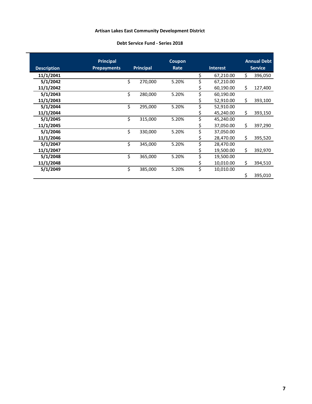#### **Debt Service Fund - Series 2018**

|                    | <b>Principal</b>   |                  | <b>Coupon</b> |    |                 |                | <b>Annual Debt</b> |  |
|--------------------|--------------------|------------------|---------------|----|-----------------|----------------|--------------------|--|
| <b>Description</b> | <b>Prepayments</b> | <b>Principal</b> | Rate          |    | <b>Interest</b> | <b>Service</b> |                    |  |
| 11/1/2041          |                    |                  |               | \$ | 67,210.00       | \$             | 396,050            |  |
| 5/1/2042           |                    | \$<br>270,000    | 5.20%         | \$ | 67,210.00       |                |                    |  |
| 11/1/2042          |                    |                  |               | Ş  | 60,190.00       | \$             | 127,400            |  |
| 5/1/2043           |                    | \$<br>280,000    | 5.20%         | \$ | 60,190.00       |                |                    |  |
| 11/1/2043          |                    |                  |               | \$ | 52,910.00       | Ś.             | 393,100            |  |
| 5/1/2044           |                    | \$<br>295,000    | 5.20%         | \$ | 52,910.00       |                |                    |  |
| 11/1/2044          |                    |                  |               | Ş  | 45,240.00       | \$             | 393,150            |  |
| 5/1/2045           |                    | \$<br>315,000    | 5.20%         | \$ | 45,240.00       |                |                    |  |
| 11/1/2045          |                    |                  |               | \$ | 37,050.00       | \$             | 397,290            |  |
| 5/1/2046           |                    | \$<br>330,000    | 5.20%         | \$ | 37,050.00       |                |                    |  |
| 11/1/2046          |                    |                  |               | \$ | 28,470.00       | \$             | 395,520            |  |
| 5/1/2047           |                    | \$<br>345,000    | 5.20%         | \$ | 28,470.00       |                |                    |  |
| 11/1/2047          |                    |                  |               | Ş  | 19,500.00       | \$             | 392,970            |  |
| 5/1/2048           |                    | \$<br>365,000    | 5.20%         | \$ | 19,500.00       |                |                    |  |
| 11/1/2048          |                    |                  |               | \$ | 10,010.00       | \$             | 394,510            |  |
| 5/1/2049           |                    | \$<br>385,000    | 5.20%         | \$ | 10,010.00       |                |                    |  |
|                    |                    |                  |               |    |                 | \$             | 395,010            |  |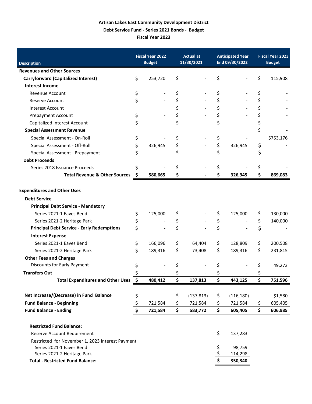**Debt Service Fund - Series 2021 Bonds - Budget**

**Fiscal Year 2023**

|                                                                       |                     | <b>Fiscal Year 2022</b> | <b>Actual at</b>     |          | <b>Anticipated Year</b> | <b>Fiscal Year 2023</b> |               |
|-----------------------------------------------------------------------|---------------------|-------------------------|----------------------|----------|-------------------------|-------------------------|---------------|
| <b>Description</b>                                                    |                     | <b>Budget</b>           | 11/30/2021           |          | End 09/30/2022          |                         | <b>Budget</b> |
| <b>Revenues and Other Sources</b>                                     |                     |                         |                      |          |                         |                         |               |
| <b>Carryforward (Capitalized Interest)</b>                            | \$                  | 253,720                 | \$                   | \$       |                         | \$                      | 115,908       |
| <b>Interest Income</b>                                                |                     |                         |                      |          |                         |                         |               |
| Revenue Account                                                       | \$                  |                         | \$                   | \$       |                         | \$                      |               |
| Reserve Account                                                       | \$                  |                         | \$                   | \$       |                         | \$                      |               |
| <b>Interest Account</b>                                               |                     |                         | \$                   | \$       |                         | \$                      |               |
| <b>Prepayment Account</b>                                             | \$                  |                         | \$                   | \$       |                         | \$                      |               |
| Capitalized Interest Account                                          | \$                  |                         | \$                   | \$       |                         | \$                      |               |
| <b>Special Assessment Revenue</b>                                     |                     |                         |                      |          |                         | \$                      |               |
| Special Assessment - On-Roll                                          | \$                  |                         | \$                   | \$       |                         |                         | \$753,176     |
| Special Assessment - Off-Roll                                         | \$                  | 326,945                 | \$                   | \$       | 326,945                 | \$                      |               |
| Special Assessment - Prepayment                                       | \$                  |                         | \$                   | \$       |                         | \$                      |               |
| <b>Debt Proceeds</b>                                                  |                     |                         |                      |          |                         |                         |               |
| Series 2018 Issuance Proceeds                                         |                     |                         | \$                   | \$       |                         | \$                      |               |
| <b>Total Revenue &amp; Other Sources</b>                              | $\ddot{\bm{\zeta}}$ | 580,665                 | \$<br>$\blacksquare$ | \$       | 326,945                 | \$                      | 869,083       |
| <b>Expenditures and Other Uses</b>                                    |                     |                         |                      |          |                         |                         |               |
| <b>Debt Service</b>                                                   |                     |                         |                      |          |                         |                         |               |
|                                                                       |                     |                         |                      |          |                         |                         |               |
| <b>Principal Debt Service - Mandatory</b><br>Series 2021-1 Eaves Bend |                     |                         |                      |          |                         |                         |               |
|                                                                       | \$                  | 125,000                 | \$                   | \$       | 125,000                 | \$                      | 130,000       |
| Series 2021-2 Heritage Park                                           | \$                  |                         | \$                   | \$<br>\$ |                         | \$                      | 140,000       |
| <b>Principal Debt Service - Early Redemptions</b>                     | \$                  |                         | \$                   |          |                         | \$                      |               |
| <b>Interest Expense</b>                                               |                     |                         |                      |          |                         |                         |               |
| Series 2021-1 Eaves Bend                                              | \$                  | 166,096                 | \$<br>64,404         | \$       | 128,809                 | \$                      | 200,508       |
| Series 2021-2 Heritage Park                                           | Ś.                  | 189,316                 | \$<br>73,408         | \$       | 189,316                 | \$                      | 231,815       |
| <b>Other Fees and Charges</b>                                         |                     |                         |                      |          |                         |                         |               |
| Discounts for Early Payment                                           | \$                  |                         |                      | Ş        |                         | \$                      | 49,273        |
| <b>Transfers Out</b>                                                  | \$                  |                         | \$                   | \$       |                         | \$                      |               |
| Total Expenditures and Other Uses \$                                  |                     | 480,412                 | \$<br>137,813        | \$       | 443,125                 | \$                      | 751,596       |
| Net Increase/(Decrease) in Fund Balance                               | \$                  |                         | \$<br>(137, 813)     | \$       | (116, 180)              |                         | \$1,580       |
| <b>Fund Balance - Beginning</b>                                       | \$                  | 721,584                 | \$<br>721,584        | \$       | 721,584                 | \$                      | 605,405       |
| <b>Fund Balance - Ending</b>                                          | \$                  | 721,584                 | \$<br>583,772        | \$       | 605,405                 | \$                      | 606,985       |
| <b>Restricted Fund Balance:</b>                                       |                     |                         |                      |          |                         |                         |               |
| Reserve Account Requirement                                           |                     |                         |                      | \$       | 137,283                 |                         |               |
| Restricted for November 1, 2023 Interest Payment                      |                     |                         |                      |          |                         |                         |               |
| Series 2021-1 Eaves Bend                                              |                     |                         |                      | \$       | 98,759                  |                         |               |
| Series 2021-2 Heritage Park                                           |                     |                         |                      | \$       | 114,298                 |                         |               |
| <b>Total - Restricted Fund Balance:</b>                               |                     |                         |                      | \$       | 350,340                 |                         |               |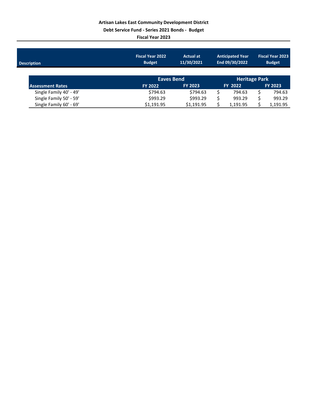**Debt Service Fund - Series 2021 Bonds - Budget**

**Fiscal Year 2023**

| <b>Description</b>      | <b>Fiscal Year 2022</b><br><b>Budget</b> | <b>Actual at</b><br>11/30/2021 | <b>Anticipated Year</b><br>End 09/30/2022 |    | <b>Fiscal Year 2023</b><br><b>Budget</b> |
|-------------------------|------------------------------------------|--------------------------------|-------------------------------------------|----|------------------------------------------|
| <b>Assessment Rates</b> | <b>Eaves Bend</b><br><b>FY 2022</b>      | <b>FY 2023</b>                 | <b>Heritage Park</b><br><b>FY 2022</b>    |    | <b>FY 2023</b>                           |
| Single Family 40' - 49' | \$794.63                                 | \$794.63                       | 794.63                                    | Ś  | 794.63                                   |
| Single Family 50' - 59' | \$993.29                                 | \$993.29                       | 993.29                                    | \$ | 993.29                                   |
| Single Family 60' - 69' | \$1.191.95                               | \$1.191.95                     | 1,191.95                                  |    | 1,191.95                                 |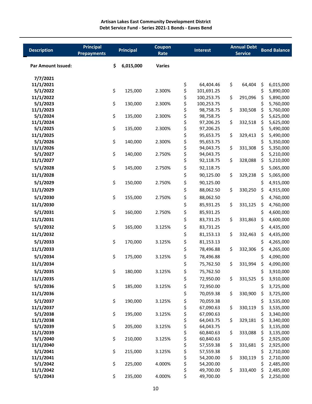| <b>Description</b>        | <b>Principal</b><br><b>Prepayments</b> |    | <b>Principal</b> | Coupon<br>Rate |          | <b>Interest</b>        | <b>Annual Debt</b><br><b>Service</b> |          | <b>Bond Balance</b>    |
|---------------------------|----------------------------------------|----|------------------|----------------|----------|------------------------|--------------------------------------|----------|------------------------|
| <b>Par Amount Issued:</b> |                                        | \$ | 6,015,000        | <b>Varies</b>  |          |                        |                                      |          |                        |
| 7/7/2021                  |                                        |    |                  |                |          |                        |                                      |          |                        |
| 11/1/2021                 |                                        |    |                  |                | \$       | 64,404.46              | \$<br>64,404                         | \$       | 6,015,000              |
| 5/1/2022                  |                                        | \$ | 125,000          | 2.300%         | \$       | 101,691.25             |                                      | \$       | 5,890,000              |
| 11/1/2022                 |                                        |    |                  |                | \$       | 100,253.75             | \$<br>291,096                        | \$       | 5,890,000              |
| 5/1/2023                  |                                        | \$ | 130,000          | 2.300%         | \$       | 100,253.75             |                                      | \$       | 5,760,000              |
| 11/1/2023<br>5/1/2024     |                                        | \$ |                  | 2.300%         | \$       | 98,758.75<br>98,758.75 | \$<br>330,508                        | \$       | 5,760,000              |
| 11/1/2024                 |                                        |    | 135,000          |                | \$<br>\$ | 97,206.25              | \$<br>332,518                        | \$<br>\$ | 5,625,000<br>5,625,000 |
| 5/1/2025                  |                                        | \$ | 135,000          | 2.300%         | \$       | 97,206.25              |                                      | \$       | 5,490,000              |
| 11/1/2025                 |                                        |    |                  |                | \$       | 95,653.75              | \$<br>329,413                        | \$       | 5,490,000              |
| 5/1/2026                  |                                        | \$ | 140,000          | 2.300%         | \$       | 95,653.75              |                                      | \$       | 5,350,000              |
| 11/1/2026                 |                                        |    |                  |                | \$       | 94,043.75              | \$<br>331,308                        | \$       | 5,350,000              |
| 5/1/2027                  |                                        | \$ | 140,000          | 2.750%         | \$       | 94,043.75              |                                      | \$       | 5,210,000              |
| 11/1/2027                 |                                        |    |                  |                | \$       | 92,118.75              | \$<br>328,088                        | \$       | 5,210,000              |
| 5/1/2028                  |                                        | \$ | 145,000          | 2.750%         | \$       | 92,118.75              |                                      | \$       | 5,065,000              |
| 11/1/2028                 |                                        |    |                  |                | \$       | 90,125.00              | \$<br>329,238                        | \$       | 5,065,000              |
| 5/1/2029                  |                                        | \$ | 150,000          | 2.750%         | \$       | 90,125.00              |                                      | \$       | 4,915,000              |
| 11/1/2029                 |                                        |    |                  |                | \$       | 88,062.50              | \$<br>330,250                        | \$       | 4,915,000              |
| 5/1/2030                  |                                        | \$ | 155,000          | 2.750%         | \$       | 88,062.50              |                                      | \$       | 4,760,000              |
| 11/1/2030                 |                                        |    |                  |                | \$       | 85,931.25              | \$<br>331,125                        | \$       | 4,760,000              |
| 5/1/2031                  |                                        | \$ | 160,000          | 2.750%         | \$       | 85,931.25              |                                      | \$       | 4,600,000              |
|                           |                                        |    |                  |                |          |                        |                                      |          |                        |
| 11/1/2031                 |                                        |    |                  |                | \$       | 83,731.25              | \$<br>331,863                        | \$       | 4,600,000              |
| 5/1/2032                  |                                        | \$ | 165,000          | 3.125%         | \$       | 83,731.25              |                                      | \$       | 4,435,000              |
| 11/1/2032                 |                                        |    |                  |                | \$       | 81,153.13              | \$<br>332,463                        | \$       | 4,435,000              |
| 5/1/2033                  |                                        | \$ | 170,000          | 3.125%         | \$       | 81,153.13              |                                      | \$       | 4,265,000              |
| 11/1/2033                 |                                        |    |                  |                | \$       | 78,496.88              | \$<br>332,306                        | \$       | 4,265,000              |
| 5/1/2034                  |                                        | \$ | 175,000          | 3.125%         | \$       | 78,496.88              |                                      | \$       | 4,090,000              |
| 11/1/2034                 |                                        |    |                  |                | \$       | 75,762.50              | \$<br>331,994                        | \$       | 4,090,000              |
| 5/1/2035                  |                                        | Ş  | 180,000          | 3.125%         | Ş        | 75,762.50              |                                      | Ş        | 3,910,000              |
| 11/1/2035                 |                                        |    |                  |                | \$       | 72,950.00              | \$<br>331,525                        | \$       | 3,910,000              |
| 5/1/2036                  |                                        | \$ | 185,000          | 3.125%         | \$       | 72,950.00              |                                      | \$       | 3,725,000              |
| 11/1/2036                 |                                        |    |                  |                | \$       | 70,059.38              | \$<br>330,900                        | \$       | 3,725,000              |
| 5/1/2037                  |                                        | \$ | 190,000          | 3.125%         | \$       | 70,059.38              |                                      | \$       | 3,535,000              |
| 11/1/2037                 |                                        |    |                  |                | \$       | 67,090.63              | \$<br>330,119                        | \$       | 3,535,000              |
| 5/1/2038                  |                                        | \$ | 195,000          | 3.125%         | \$       | 67,090.63              |                                      | \$       | 3,340,000              |
| 11/1/2038                 |                                        |    |                  |                | \$       | 64,043.75              | \$<br>329,181                        | \$       | 3,340,000              |
| 5/1/2039                  |                                        | \$ | 205,000          | 3.125%         | \$       | 64,043.75              |                                      | \$       | 3,135,000              |
| 11/1/2039                 |                                        |    |                  |                | \$       | 60,840.63              | \$<br>333,088                        | \$       | 3,135,000              |
| 5/1/2040                  |                                        | \$ | 210,000          | 3.125%         | \$       | 60,840.63              |                                      | \$       | 2,925,000              |
| 11/1/2040                 |                                        |    |                  |                | \$       | 57,559.38              | \$<br>331,681                        | \$       | 2,925,000              |
| 5/1/2041                  |                                        | \$ | 215,000          | 3.125%         | \$       | 57,559.38              |                                      | \$       | 2,710,000              |
| 11/1/2041<br>5/1/2042     |                                        | \$ | 225,000          | 4.000%         | \$<br>\$ | 54,200.00<br>54,200.00 | \$<br>330,119                        | \$<br>\$ | 2,710,000<br>2,485,000 |
| 11/1/2042                 |                                        |    |                  |                | \$       | 49,700.00              | \$<br>333,400                        | \$       | 2,485,000              |
| 5/1/2043                  |                                        | \$ | 235,000          | 4.000%         | \$       | 49,700.00              |                                      | \$       | 2,250,000              |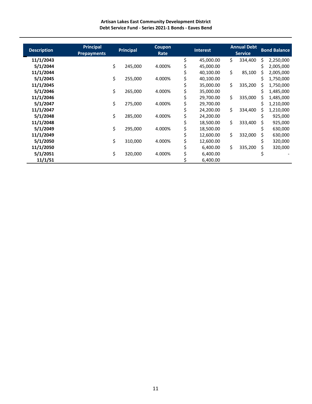**Artisan Lakes East Community Development District Debt Service Fund - Series 2021-1 Bonds - Eaves Bend**

| <b>Description</b> | <b>Principal</b>   |    | <b>Principal</b> | Coupon |    | <b>Interest</b> |     | <b>Annual Debt</b> |    | <b>Bond Balance</b> |
|--------------------|--------------------|----|------------------|--------|----|-----------------|-----|--------------------|----|---------------------|
|                    | <b>Prepayments</b> |    |                  | Rate   |    |                 |     | <b>Service</b>     |    |                     |
| 11/1/2043          |                    |    |                  |        | \$ | 45,000.00       | \$. | 334,400            | \$ | 2,250,000           |
| 5/1/2044           |                    | \$ | 245,000          | 4.000% |    | 45,000.00       |     |                    | S  | 2,005,000           |
| 11/1/2044          |                    |    |                  |        |    | 40,100.00       | \$  | 85,100             | Ś  | 2,005,000           |
| 5/1/2045           |                    | \$ | 255,000          | 4.000% |    | 40,100.00       |     |                    | Ś  | 1,750,000           |
| 11/1/2045          |                    |    |                  |        |    | 35,000.00       | \$  | 335,200            |    | 1,750,000           |
| 5/1/2046           |                    | Ś. | 265,000          | 4.000% |    | 35,000.00       |     |                    | Ś  | 1,485,000           |
| 11/1/2046          |                    |    |                  |        |    | 29,700.00       | \$  | 335,000            |    | 1,485,000           |
| 5/1/2047           |                    | Ś  | 275,000          | 4.000% |    | 29,700.00       |     |                    | Ś  | 1,210,000           |
| 11/1/2047          |                    |    |                  |        |    | 24,200.00       | \$  | 334,400            | Ś  | 1,210,000           |
| 5/1/2048           |                    | \$ | 285,000          | 4.000% |    | 24,200.00       |     |                    | s  | 925,000             |
| 11/1/2048          |                    |    |                  |        |    | 18,500.00       | \$  | 333,400            | s  | 925,000             |
| 5/1/2049           |                    | \$ | 295,000          | 4.000% | Ş  | 18,500.00       |     |                    |    | 630,000             |
| 11/1/2049          |                    |    |                  |        |    | 12,600.00       | \$  | 332,000            |    | 630,000             |
| 5/1/2050           |                    | \$ | 310,000          | 4.000% |    | 12,600.00       |     |                    |    | 320,000             |
| 11/1/2050          |                    |    |                  |        |    | 6,400.00        | \$  | 335,200            |    | 320,000             |
| 5/1/2051           |                    | \$ | 320,000          | 4.000% |    | 6,400.00        |     |                    |    |                     |
| 11/1/51            |                    |    |                  |        |    | 6,400.00        |     |                    |    |                     |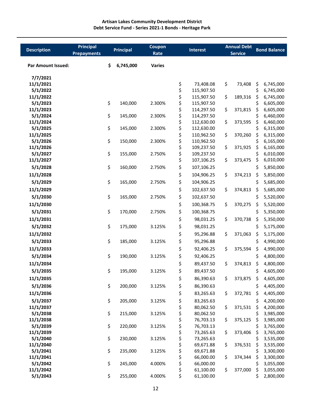| <b>Description</b>        | <b>Principal</b><br><b>Prepayments</b> | <b>Principal</b> | Coupon<br>Rate | <b>Interest</b> |                          | <b>Annual Debt</b><br><b>Service</b> |         | <b>Bond Balance</b> |                        |
|---------------------------|----------------------------------------|------------------|----------------|-----------------|--------------------------|--------------------------------------|---------|---------------------|------------------------|
| <b>Par Amount Issued:</b> | \$                                     | 6,745,000        | <b>Varies</b>  |                 |                          |                                      |         |                     |                        |
| 7/7/2021                  |                                        |                  |                |                 |                          |                                      |         |                     |                        |
| 11/1/2021                 |                                        |                  |                | \$              | 73,408.08                | \$                                   | 73,408  | \$                  | 6,745,000              |
| 5/1/2022                  |                                        |                  |                | \$              | 115,907.50               |                                      |         | \$                  | 6,745,000              |
| 11/1/2022                 |                                        |                  |                | \$              | 115,907.50               | \$                                   | 189,316 | \$                  | 6,745,000              |
| 5/1/2023<br>11/1/2023     | \$                                     | 140,000          | 2.300%         | \$<br>\$        | 115,907.50<br>114,297.50 | \$                                   | 371,815 | \$<br>\$            | 6,605,000<br>6,605,000 |
| 5/1/2024                  | \$                                     | 145,000          | 2.300%         | \$              | 114,297.50               |                                      |         | \$                  | 6,460,000              |
| 11/1/2024                 |                                        |                  |                | \$              | 112,630.00               | \$                                   | 373,595 | \$                  | 6,460,000              |
| 5/1/2025                  | \$                                     | 145,000          | 2.300%         | \$              | 112,630.00               |                                      |         | \$                  | 6,315,000              |
| 11/1/2025                 |                                        |                  |                | \$              | 110,962.50               | \$                                   | 370,260 | \$                  | 6,315,000              |
| 5/1/2026                  | \$                                     | 150,000          | 2.300%         | \$              | 110,962.50               |                                      |         | \$                  | 6,165,000              |
| 11/1/2026                 |                                        |                  |                | \$              | 109,237.50               | \$                                   | 371,925 | \$                  | 6,165,000              |
| 5/1/2027                  | \$                                     | 155,000          | 2.750%         | \$              | 109,237.50               |                                      |         | \$                  | 6,010,000              |
| 11/1/2027                 |                                        |                  |                | \$              | 107,106.25               | \$                                   | 373,475 | \$                  | 6,010,000              |
| 5/1/2028                  | \$                                     | 160,000          | 2.750%         | \$              | 107,106.25               |                                      |         | \$                  | 5,850,000              |
| 11/1/2028                 |                                        |                  |                | \$              | 104,906.25               | \$                                   | 374,213 | \$                  | 5,850,000              |
| 5/1/2029                  | \$                                     | 165,000          | 2.750%         | \$              | 104,906.25               |                                      |         | \$                  | 5,685,000              |
| 11/1/2029                 |                                        |                  |                | \$              | 102,637.50               | \$                                   | 374,813 | \$,                 | 5,685,000              |
| 5/1/2030                  | \$                                     | 165,000          | 2.750%         | \$              | 102,637.50               |                                      |         | \$                  | 5,520,000              |
| 11/1/2030                 |                                        |                  |                | \$              | 100,368.75               | \$                                   | 370,275 | \$                  | 5,520,000              |
| 5/1/2031                  | \$                                     | 170,000          | 2.750%         | \$              | 100,368.75               |                                      |         | \$                  | 5,350,000              |
| 11/1/2031                 |                                        |                  |                | \$              | 98,031.25                | \$                                   | 370,738 | \$                  | 5,350,000              |
| 5/1/2032                  | \$                                     | 175,000          | 3.125%         | \$              | 98,031.25                |                                      |         | \$                  | 5,175,000              |
| 11/1/2032                 |                                        |                  |                | \$              | 95,296.88                | \$                                   | 371,063 | \$                  | 5,175,000              |
| 5/1/2033                  | \$                                     | 185,000          | 3.125%         | \$              | 95,296.88                |                                      |         | \$                  | 4,990,000              |
| 11/1/2033                 |                                        |                  |                | \$              | 92,406.25                | \$                                   | 375,594 | \$                  | 4,990,000              |
| 5/1/2034                  | \$                                     | 190,000          | 3.125%         | \$              | 92,406.25                |                                      |         | \$                  | 4,800,000              |
| 11/1/2034                 |                                        |                  |                | \$              | 89,437.50                | \$                                   | 374,813 | \$                  | 4,800,000              |
| 5/1/2035                  | \$                                     | 195,000          | 3.125%         | \$              | 89,437.50                |                                      |         | Ş                   | 4,605,000              |
| 11/1/2035                 |                                        |                  |                | \$              | 86,390.63                | \$                                   | 373,875 | \$                  | 4,605,000              |
| 5/1/2036                  | \$                                     | 200,000          | 3.125%         | \$              | 86,390.63                |                                      |         | \$                  | 4,405,000              |
| 11/1/2036                 |                                        |                  |                | \$              | 83,265.63                | \$                                   | 372,781 | \$                  | 4,405,000              |
| 5/1/2037                  | \$                                     | 205,000          | 3.125%         | \$              | 83,265.63                |                                      |         | \$                  | 4,200,000              |
| 11/1/2037                 |                                        |                  |                | \$              | 80,062.50                | \$                                   | 371,531 | \$                  | 4,200,000              |
| 5/1/2038                  | \$                                     | 215,000          | 3.125%         | \$              | 80,062.50                |                                      |         | \$                  | 3,985,000              |
| 11/1/2038                 |                                        |                  |                | \$              | 76,703.13                | \$                                   | 375,125 | \$                  | 3,985,000              |
| 5/1/2039                  | \$                                     | 220,000          | 3.125%         | \$              | 76,703.13                |                                      |         | \$                  | 3,765,000              |
| 11/1/2039                 |                                        |                  |                | \$              | 73,265.63                | \$                                   | 373,406 | \$                  | 3,765,000              |
| 5/1/2040                  | \$                                     | 230,000          | 3.125%         | \$              | 73,265.63                |                                      |         | \$                  | 3,535,000              |
| 11/1/2040                 |                                        |                  |                | \$              | 69,671.88                | \$                                   | 376,531 | \$                  | 3,535,000              |
| 5/1/2041<br>11/1/2041     | \$                                     | 235,000          | 3.125%         | \$<br>\$        | 69,671.88<br>66,000.00   | \$                                   | 374,344 | \$<br>\$            | 3,300,000<br>3,300,000 |
| 5/1/2042                  | \$                                     | 245,000          | 4.000%         | \$              | 66,000.00                |                                      |         | \$                  | 3,055,000              |
| 11/1/2042                 |                                        |                  |                | \$              | 61,100.00                | \$                                   | 377,000 | \$                  | 3,055,000              |
| 5/1/2043                  | \$                                     | 255,000          | 4.000%         | \$              | 61,100.00                |                                      |         | \$                  | 2,800,000              |